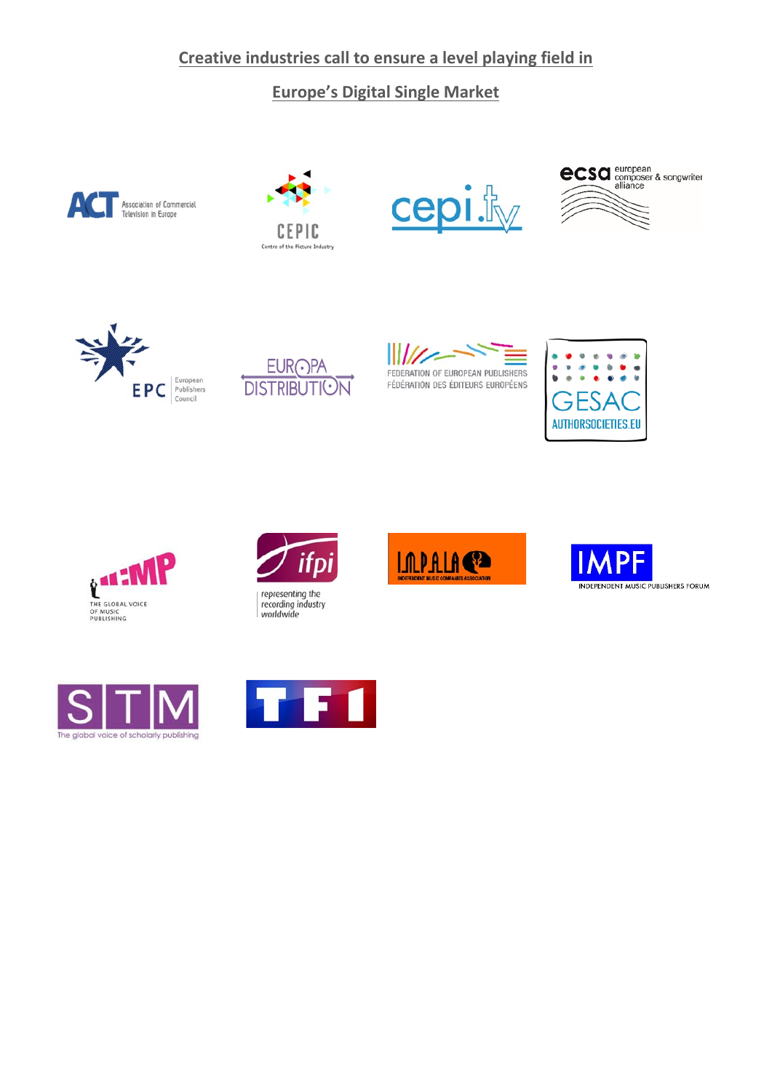## **Creative industries call to ensure a level playing field in**

## **Europe's Digital Single Market**





















recording industry worldwide







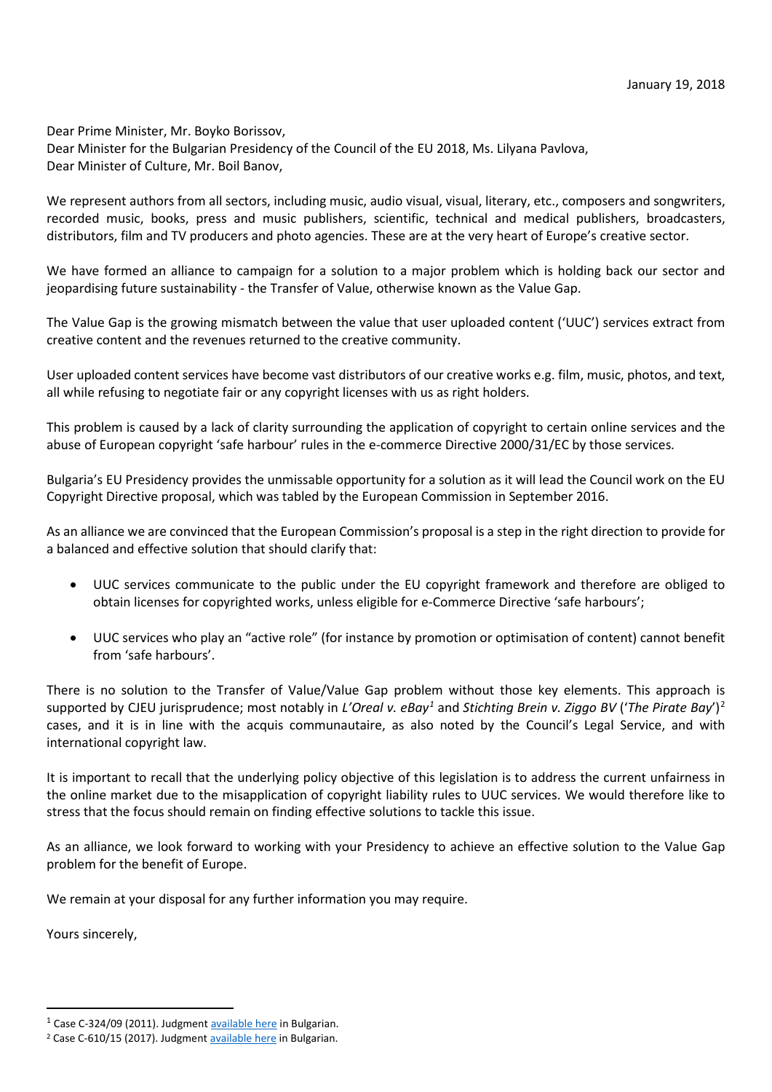Dear Prime Minister, Mr. Boyko Borissov, Dear Minister for the Bulgarian Presidency of the Council of the EU 2018, Ms. Lilyana Pavlova, Dear Minister of Culture, Mr. Boil Banov,

We represent authors from all sectors, including music, audio visual, visual, literary, etc., composers and songwriters, recorded music, books, press and music publishers, scientific, technical and medical publishers, broadcasters, distributors, film and TV producers and photo agencies. These are at the very heart of Europe's creative sector.

We have formed an alliance to campaign for a solution to a major problem which is holding back our sector and jeopardising future sustainability - the Transfer of Value, otherwise known as the Value Gap.

The Value Gap is the growing mismatch between the value that user uploaded content ('UUC') services extract from creative content and the revenues returned to the creative community.

User uploaded content services have become vast distributors of our creative works e.g. film, music, photos, and text, all while refusing to negotiate fair or any copyright licenses with us as right holders.

This problem is caused by a lack of clarity surrounding the application of copyright to certain online services and the abuse of European copyright 'safe harbour' rules in the e-commerce Directive 2000/31/EC by those services.

Bulgaria's EU Presidency provides the unmissable opportunity for a solution as it will lead the Council work on the EU Copyright Directive proposal, which was tabled by the European Commission in September 2016.

As an alliance we are convinced that the European Commission's proposal is a step in the right direction to provide for a balanced and effective solution that should clarify that:

- UUC services communicate to the public under the EU copyright framework and therefore are obliged to obtain licenses for copyrighted works, unless eligible for e-Commerce Directive 'safe harbours';
- UUC services who play an "active role" (for instance by promotion or optimisation of content) cannot benefit from 'safe harbours'.

There is no solution to the Transfer of Value/Value Gap problem without those key elements. This approach is supported by CJEU jurisprudence; most notably in *L'Oreal v. eBay[1](#page-1-0)* and *Stichting Brein v. Ziggo BV* ('*The Pirate Bay*')[2](#page-1-1) cases, and it is in line with the acquis communautaire, as also noted by the Council's Legal Service, and with international copyright law.

It is important to recall that the underlying policy objective of this legislation is to address the current unfairness in the online market due to the misapplication of copyright liability rules to UUC services. We would therefore like to stress that the focus should remain on finding effective solutions to tackle this issue.

As an alliance, we look forward to working with your Presidency to achieve an effective solution to the Value Gap problem for the benefit of Europe.

We remain at your disposal for any further information you may require.

Yours sincerely,

<span id="page-1-0"></span><sup>&</sup>lt;sup>1</sup> Case C-324/09 (2011). Judgment **ava[i](http://curia.europa.eu/juris/liste.jsf?pro=&lgrec=en&nat=or&oqp=&dates=&lg=&language=bg&jur=C%2CT%2CF&cit=none%252CC%252CCJ%252CR%252C2008E%252C%252C%252C%252C%252C%252C%252C%252C%252C%252Ctrue%252Cfalse%252Cfalse&num=C-324%252F09&td=%3BALL&pcs=Oor&avg=&page=1&mat=or&jge=&for=&cid=695637)lable here in Bulgarian.** <sup>2</sup> Case C-610/15 (2017). Judgment [available here](http://curia.europa.eu/juris/document/document.jsf?docid=191707&doclang=BG) in Bulgarian.

<span id="page-1-1"></span>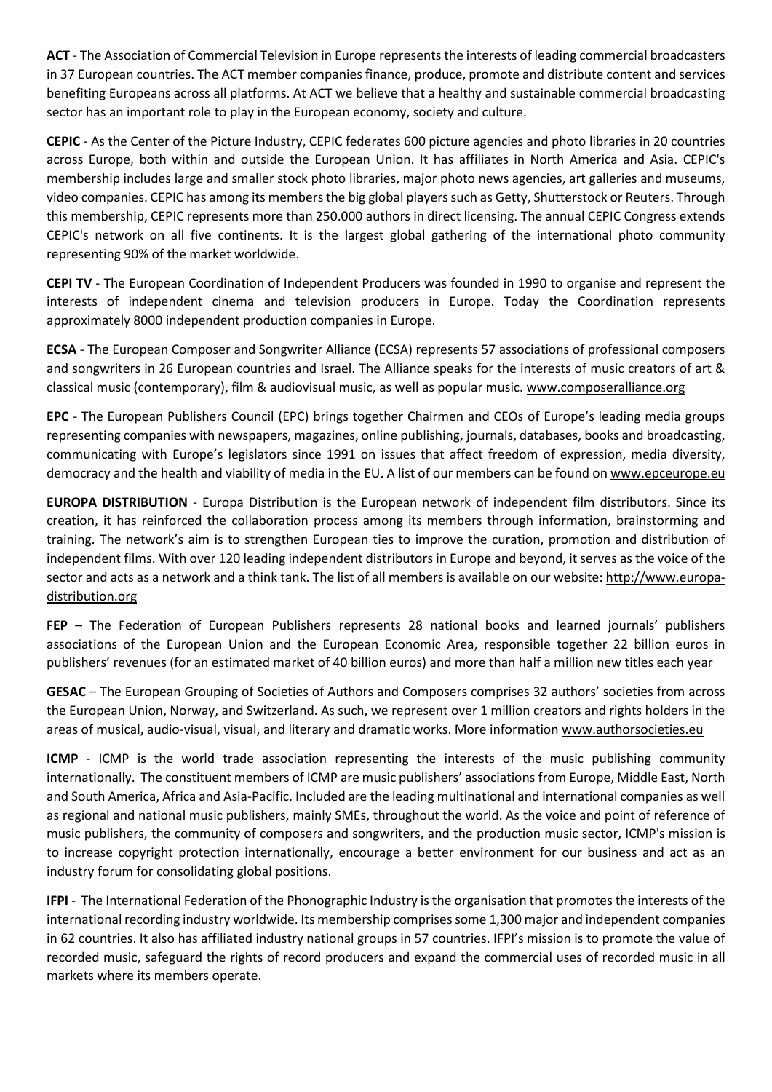**ACT** - The Association of Commercial Television in Europe represents the interests of leading commercial broadcasters in 37 European countries. The ACT member companies finance, produce, promote and distribute content and services benefiting Europeans across all platforms. At ACT we believe that a healthy and sustainable commercial broadcasting sector has an important role to play in the European economy, society and culture.

**CEPIC** - As the Center of the Picture Industry, CEPIC federates 600 picture agencies and photo libraries in 20 countries across Europe, both within and outside the European Union. It has affiliates in North America and Asia. CEPIC's membership includes large and smaller stock photo libraries, major photo news agencies, art galleries and museums, video companies. CEPIC has among its members the big global players such as Getty, Shutterstock or Reuters. Through this membership, CEPIC represents more than 250.000 authors in direct licensing. The annual CEPIC Congress extends CEPIC's network on all five continents. It is the largest global gathering of the international photo community representing 90% of the market worldwide.

**CEPI TV** - The European Coordination of Independent Producers was founded in 1990 to organise and represent the interests of independent cinema and television producers in Europe. Today the Coordination represents approximately 8000 independent production companies in Europe.

**ECSA** - The European Composer and Songwriter Alliance (ECSA) represents 57 associations of professional composers and songwriters in 26 European countries and Israel. The Alliance speaks for the interests of music creators of art & classical music (contemporary), film & audiovisual music, as well as popular music. [www.composeralliance.org](http://www.composeralliance.org/) 

**EPC** - The European Publishers Council (EPC) brings together Chairmen and CEOs of Europe's leading media groups representing companies with newspapers, magazines, online publishing, journals, databases, books and broadcasting, communicating with Europe's legislators since 1991 on issues that affect freedom of expression, media diversity, democracy and the health and viability of media in the EU. A list of our members can be found on [www.epceurope.eu](http://www.epceurope.eu/) 

**EUROPA DISTRIBUTION** - Europa Distribution is the European network of independent film distributors. Since its creation, it has reinforced the collaboration process among its members through information, brainstorming and training. The network's aim is to strengthen European ties to improve the curation, promotion and distribution of independent films. With over 120 leading independent distributors in Europe and beyond, it serves as the voice of the sector and acts as a network and a think tank. The list of all members is available on our website[: http://www.europa](http://www.europa-distribution.org/)[distribution.org](http://www.europa-distribution.org/)

**FEP** – The Federation of European Publishers represents 28 national books and learned journals' publishers associations of the European Union and the European Economic Area, responsible together 22 billion euros in publishers' revenues (for an estimated market of 40 billion euros) and more than half a million new titles each year

**GESAC** – The European Grouping of Societies of Authors and Composers comprises 32 authors' societies from across the European Union, Norway, and Switzerland. As such, we represent over 1 million creators and rights holders in the areas of musical, audio-visual, visual, and literary and dramatic works. More information [www.authorsocieties.eu](http://www.authorsocieties.eu/)

**ICMP** - ICMP is the world trade association representing the interests of the music publishing community internationally. The constituent members of ICMP are music publishers' associations from Europe, Middle East, North and South America, Africa and Asia-Pacific. Included are the leading multinational and international companies as well as regional and national music publishers, mainly SMEs, throughout the world. As the voice and point of reference of music publishers, the community of composers and songwriters, and the production music sector, ICMP's mission is to increase copyright protection internationally, encourage a better environment for our business and act as an industry forum for consolidating global positions.

**IFPI** - The International Federation of the Phonographic Industry is the organisation that promotes the interests of the international recording industry worldwide. Its membership comprises some 1,300 major and independent companies in 62 countries. It also has affiliated industry national groups in 57 countries. IFPI's mission is to promote the value of recorded music, safeguard the rights of record producers and expand the commercial uses of recorded music in all markets where its members operate.